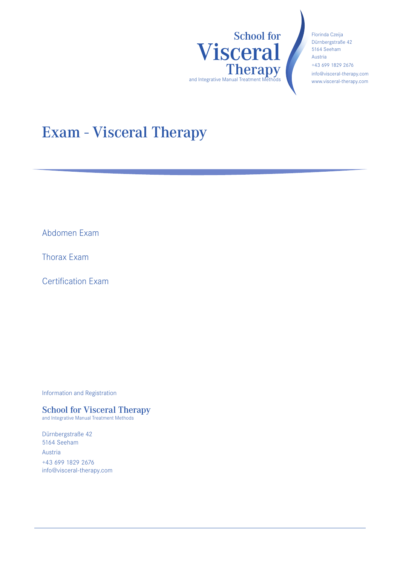

Florinda Czeija Dürnbergstraße 42 5164 Seeham Austria +43 699 1829 2676 info@visceral-therapy.com www.visceral-therapy.com

# Exam - Visceral Therapy

Abdomen Exam

Thorax Exam

Certification Exam

Information and Registration

### School for Visceral Therapy

and Integrative Manual Treatment Methods

Dürnbergstraße 42 5164 Seeham Austria +43 699 1829 2676 info@visceral-therapy.com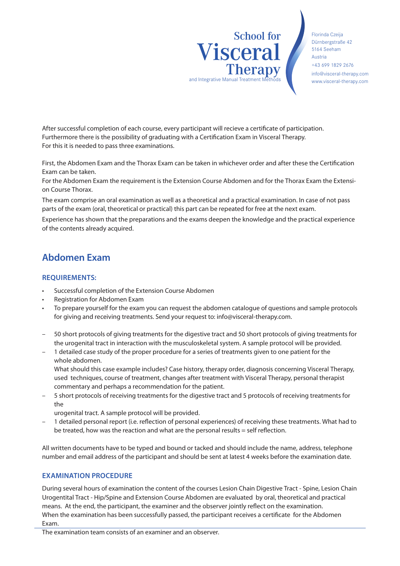School for Visceral **Therapy** and Integrative Manual Treatment M

Florinda Czeija Dürnbergstraße 42 5164 Seeham Austria +43 699 1829 2676 info@visceral-therapy.com www.visceral-therapy.com

After successful completion of each course, every participant will recieve a certificate of participation. Furthermore there is the possibility of graduating with a Certification Exam in Visceral Therapy. For this it is needed to pass three examinations.

First, the Abdomen Exam and the Thorax Exam can be taken in whichever order and after these the Certification Exam can be taken.

For the Abdomen Exam the requirement is the Extension Course Abdomen and for the Thorax Exam the Extension Course Thorax.

The exam comprise an oral examination as well as a theoretical and a practical examination. In case of not pass parts of the exam (oral, theoretical or practical) this part can be repeated for free at the next exam.

Experience has shown that the preparations and the exams deepen the knowledge and the practical experience of the contents already acquired.

### **Abdomen Exam**

#### **REQUIREMENTS:**

- Successful completion of the Extension Course Abdomen
- Registration for Abdomen Exam
- To prepare yourself for the exam you can request the abdomen catalogue of questions and sample protocols for giving and receiving treatments. Send your request to: info@visceral-therapy.com.
- 50 short protocols of giving treatments for the digestive tract and 50 short protocols of giving treatments for the urogenital tract in interaction with the musculoskeletal system. A sample protocol will be provided.
- 1 detailed case study of the proper procedure for a series of treatments given to one patient for the whole abdomen.

What should this case example includes? Case history, therapy order, diagnosis concerning Visceral Therapy, used techniques, course of treatment, changes after treatment with Visceral Therapy, personal therapist commentary and perhaps a recommendation for the patient.

– 5 short protocols of receiving treatments for the digestive tract and 5 protocols of receiving treatments for the

urogenital tract. A sample protocol will be provided.

– 1 detailed personal report (i.e. reflection of personal experiences) of receiving these treatments. What had to be treated, how was the reaction and what are the personal results = self reflection.

All written documents have to be typed and bound or tacked and should include the name, address, telephone number and email address of the participant and should be sent at latest 4 weeks before the examination date.

#### **EXAMINATION PROCEDURE**

During several hours of examination the content of the courses Lesion Chain Digestive Tract - Spine, Lesion Chain Urogentital Tract - Hip/Spine and Extension Course Abdomen are evaluated by oral, theoretical and practical means. At the end, the participant, the examiner and the observer jointly reflect on the examination. When the examination has been successfully passed, the participant receives a certificate for the Abdomen Exam.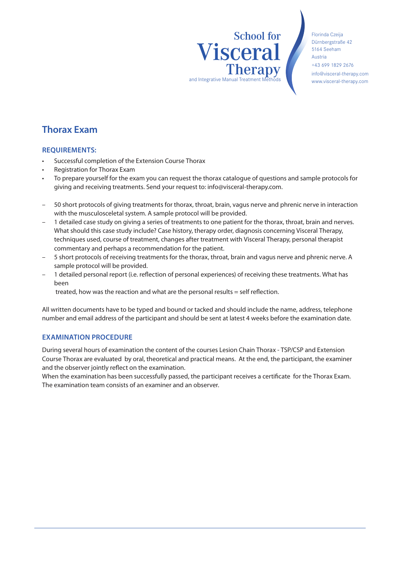# School for Visceral **Therapy** and Integrative Manual Treatment I

Florinda Czeija Dürnbergstraße 42 5164 Seeham Austria +43 699 1829 2676 info@visceral-therapy.com www.visceral-therapy.com

### **Thorax Exam**

#### **REQUIREMENTS:**

- Successful completion of the Extension Course Thorax
- Registration for Thorax Exam
- To prepare yourself for the exam you can request the thorax catalogue of questions and sample protocols for giving and receiving treatments. Send your request to: info@visceral-therapy.com.
- 50 short protocols of giving treatments for thorax, throat, brain, vagus nerve and phrenic nerve in interaction with the musculosceletal system. A sample protocol will be provided.
- 1 detailed case study on giving a series of treatments to one patient for the thorax, throat, brain and nerves. What should this case study include? Case history, therapy order, diagnosis concerning Visceral Therapy, techniques used, course of treatment, changes after treatment with Visceral Therapy, personal therapist commentary and perhaps a recommendation for the patient.
- 5 short protocols of receiving treatments for the thorax, throat, brain and vagus nerve and phrenic nerve. A sample protocol will be provided.
- 1 detailed personal report (i.e. reflection of personal experiences) of receiving these treatments. What has been

treated, how was the reaction and what are the personal results = self reflection.

All written documents have to be typed and bound or tacked and should include the name, address, telephone number and email address of the participant and should be sent at latest 4 weeks before the examination date.

#### **EXAMINATION PROCEDURE**

During several hours of examination the content of the courses Lesion Chain Thorax - TSP/CSP and Extension Course Thorax are evaluated by oral, theoretical and practical means. At the end, the participant, the examiner and the observer jointly reflect on the examination.

When the examination has been successfully passed, the participant receives a certificate for the Thorax Exam. The examination team consists of an examiner and an observer.